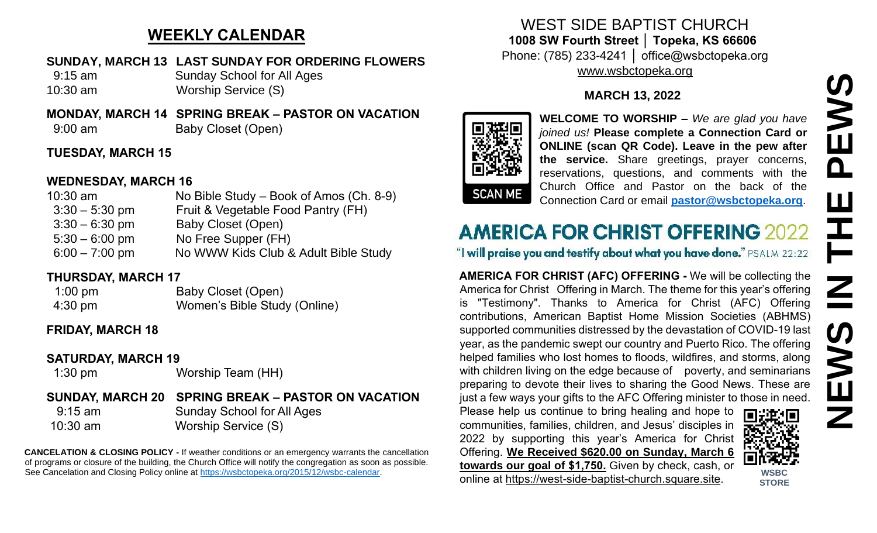# **WEEKLY CALENDAR**

#### **SUNDAY, MARCH 13 LAST SUNDAY FOR ORDERING FLOWERS**

 9:15 am Sunday School for All Ages 10:30 am Worship Service (S)

**MONDAY, MARCH 14 SPRING BREAK – PASTOR ON VACATION**

9:00 am Baby Closet (Open)

# **TUESDAY, MARCH 15**

## **WEDNESDAY, MARCH 16**

| $10:30$ am       | No Bible Study – Book of Amos (Ch. 8-9) |
|------------------|-----------------------------------------|
| $3:30 - 5:30$ pm | Fruit & Vegetable Food Pantry (FH)      |
| $3:30 - 6:30$ pm | Baby Closet (Open)                      |
| $5:30 - 6:00$ pm | No Free Supper (FH)                     |
| $6:00 - 7:00$ pm | No WWW Kids Club & Adult Bible Study    |

# **THURSDAY, MARCH 17**

| $1:00$ pm         | Baby Closet (Open)           |
|-------------------|------------------------------|
| $4:30 \text{ pm}$ | Women's Bible Study (Online) |

# **FRIDAY, MARCH 18**

#### **SATURDAY, MARCH 19**

1:30 pm Worship Team (HH)

# **SUNDAY, MARCH 20 SPRING BREAK – PASTOR ON VACATION**

 9:15 am Sunday School for All Ages 10:30 am Worship Service (S)

**CANCELATION & CLOSING POLICY -** If weather conditions or an emergency warrants the cancellation of programs or closure of the building, the Church Office will notify the congregation as soon as possible. See Cancelation and Closing Policy online at [https://wsbctopeka.org/2015/12/wsbc-calendar.](https://wsbctopeka.org/2015/12/wsbc-calendar)

### WEST SIDE BAPTIST CHURCH **1008 SW Fourth Street │ Topeka, KS 66606** Phone: (785) 233-4241 │ office@wsbctopeka.org [www.wsbctopeka.org](http://www.wsbctopeka.org/)

# **MARCH 13, 2022**



**WELCOME TO WORSHIP –** *We are glad you have joined us!* **Please complete a Connection Card or ONLINE (scan QR Code). Leave in the pew after the service.** Share greetings, prayer concerns, reservations, questions, and comments with the Church Office and Pastor on the back of the Connection Card or email **[pastor@wsbctopeka.org](mailto:pastor@wsbctopeka.org)**.

# **AMERICA FOR CHRIST OFFERING 2022**

"I will praise you and testify about what you have done." PSALM 22:22

**AMERICA FOR CHRIST (AFC) OFFERING -** We will be collecting the America for Christ Offering in March. The theme for this year's offering is "Testimony". Thanks to America for Christ (AFC) Offering contributions, American Baptist Home Mission Societies (ABHMS) supported communities distressed by the devastation of COVID-19 last year, as the pandemic swept our country and Puerto Rico. The offering helped families who lost homes to floods, wildfires, and storms, along with children living on the edge because of poverty, and seminarians preparing to devote their lives to sharing the Good News. These are just a few ways your gifts to the AFC Offering minister to those in need.

Please help us continue to bring healing and hope to communities, families, children, and Jesus' disciples in 2022 by supporting this year's America for Christ Offering. **We Received \$620.00 on Sunday, March 6 towards our goal of \$1,750.** Given by check, cash, or online at [https://west-side-baptist-church.square.site.](https://west-side-baptist-church.square.site/)